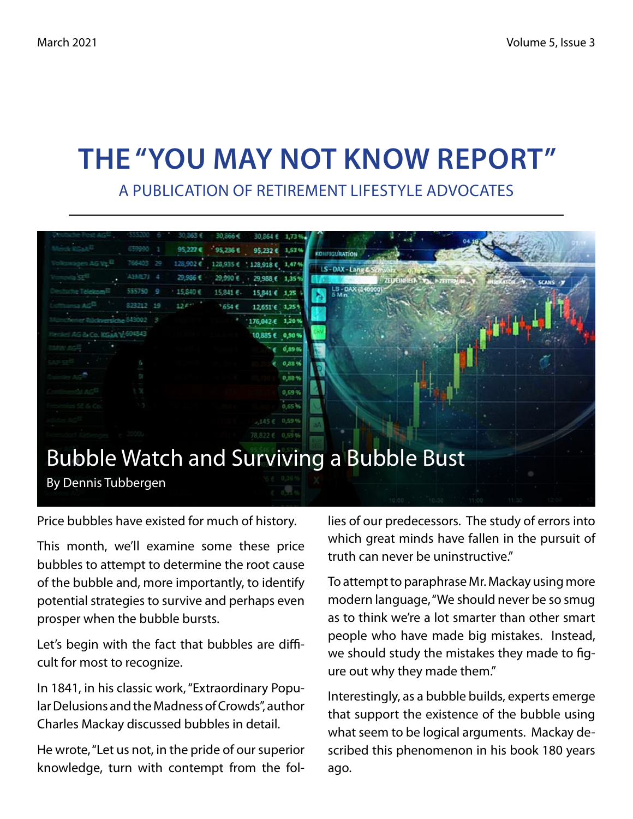# **The "You May Not Know Report"**

A Publication of Retirement Lifestyle Advocates



Price bubbles have existed for much of history.

This month, we'll examine some these price bubbles to attempt to determine the root cause of the bubble and, more importantly, to identify potential strategies to survive and perhaps even prosper when the bubble bursts.

Let's begin with the fact that bubbles are difficult for most to recognize.

In 1841, in his classic work, "Extraordinary Popular Delusions and the Madness of Crowds", author Charles Mackay discussed bubbles in detail.

He wrote, "Let us not, in the pride of our superior knowledge, turn with contempt from the follies of our predecessors. The study of errors into which great minds have fallen in the pursuit of truth can never be uninstructive."

To attempt to paraphrase Mr. Mackay using more modern language, "We should never be so smug as to think we're a lot smarter than other smart people who have made big mistakes. Instead, we should study the mistakes they made to figure out why they made them."

Interestingly, as a bubble builds, experts emerge that support the existence of the bubble using what seem to be logical arguments. Mackay described this phenomenon in his book 180 years ago.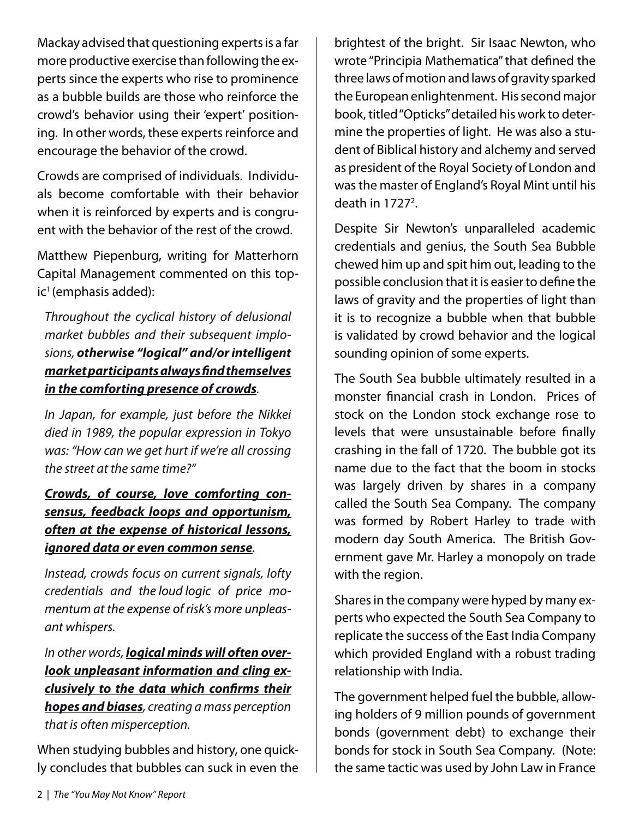Mackay advised that questioning experts is a far more productive exercise than following the experts since the experts who rise to prominence as a bubble builds are those who reinforce the crowd's behavior using their 'expert' positioning. In other words, these experts reinforce and encourage the behavior of the crowd.

Crowds are comprised of individuals. Individuals become comfortable with their behavior when it is reinforced by experts and is congruent with the behavior of the rest of the crowd.

Matthew Piepenburg, writing for Matterhorn Capital Management commented on this top $ic<sup>1</sup>$  (emphasis added):

*Throughout the cyclical history of delusional market bubbles and their subsequent implosions, otherwise "logical" and/or intelligent market participants always find themselves in the comforting presence of crowds.*

*In Japan, for example, just before the Nikkei died in 1989, the popular expression in Tokyo was: "How can we get hurt if we're all crossing the street at the same time?"*

*Crowds, of course, love comforting consensus, feedback loops and opportunism, often at the expense of historical lessons, ignored data or even common sense.*

*Instead, crowds focus on current signals, lofty credentials and the loud logic of price momentum at the expense of risk's more unpleasant whispers.*

*In other words, logical minds will often overlook unpleasant information and cling exclusively to the data which confirms their hopes and biases, creating a mass perception that is often misperception.*

When studying bubbles and history, one quickly concludes that bubbles can suck in even the

brightest of the bright. Sir Isaac Newton, who wrote "Principia Mathematica" that defined the three laws of motion and laws of gravity sparked the European enlightenment. His second major book, titled "Opticks" detailed his work to determine the properties of light. He was also a student of Biblical history and alchemy and served as president of the Royal Society of London and was the master of England's Royal Mint until his death in  $1727<sup>2</sup>$ .

Despite Sir Newton's unparalleled academic credentials and genius, the South Sea Bubble chewed him up and spit him out, leading to the possible conclusion that it is easier to define the laws of gravity and the properties of light than it is to recognize a bubble when that bubble is validated by crowd behavior and the logical sounding opinion of some experts.

The South Sea bubble ultimately resulted in a monster financial crash in London. Prices of stock on the London stock exchange rose to levels that were unsustainable before finally crashing in the fall of 1720. The bubble got its name due to the fact that the boom in stocks was largely driven by shares in a company called the South Sea Company. The company was formed by Robert Harley to trade with modern day South America. The British Government gave Mr. Harley a monopoly on trade with the region.

Shares in the company were hyped by many experts who expected the South Sea Company to replicate the success of the East India Company which provided England with a robust trading relationship with India.

The government helped fuel the bubble, allowing holders of 9 million pounds of government bonds (government debt) to exchange their bonds for stock in South Sea Company. (Note: the same tactic was used by John Law in France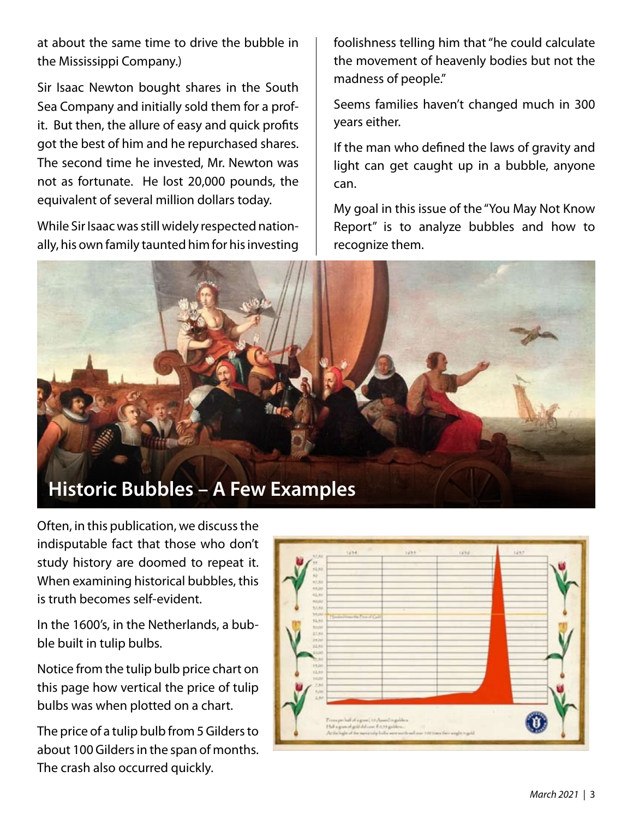at about the same time to drive the bubble in the Mississippi Company.)

Sir Isaac Newton bought shares in the South Sea Company and initially sold them for a profit. But then, the allure of easy and quick profits got the best of him and he repurchased shares. The second time he invested, Mr. Newton was not as fortunate. He lost 20,000 pounds, the equivalent of several million dollars today.

While Sir Isaac was still widely respected nationally, his own family taunted him for his investing

foolishness telling him that "he could calculate the movement of heavenly bodies but not the madness of people."

Seems families haven't changed much in 300 years either.

If the man who defined the laws of gravity and light can get caught up in a bubble, anyone can.

My goal in this issue of the "You May Not Know Report" is to analyze bubbles and how to recognize them.



Often, in this publication, we discuss the indisputable fact that those who don't study history are doomed to repeat it. When examining historical bubbles, this is truth becomes self-evident.

In the 1600's, in the Netherlands, a bubble built in tulip bulbs.

Notice from the tulip bulb price chart on this page how vertical the price of tulip bulbs was when plotted on a chart.

The price of a tulip bulb from 5 Gilders to about 100 Gilders in the span of months. The crash also occurred quickly.

| 1437 |   | 1636 | 1635 | 1654                                                                                                                                                                             | 97,90<br>92,80<br>u)<br>$-1.66$<br>44,00<br>42.80                                   |  |
|------|---|------|------|----------------------------------------------------------------------------------------------------------------------------------------------------------------------------------|-------------------------------------------------------------------------------------|--|
|      | ۰ |      |      | Source House the Time of Calif.                                                                                                                                                  | eddo.<br>57,50<br>35,00<br>52.60<br><b>NOZA</b><br>27,50<br>24,00<br>22,50<br>anos. |  |
|      |   |      |      |                                                                                                                                                                                  | tr.sa<br>11.00<br>12.80<br><b>MAR</b><br>7,911<br>9,046<br>2,50                     |  |
|      |   |      |      | Towerperholl of a good, 10 Asset) to golden.<br>Hell a grower gold delivert flator guide was<br>Arthrhight of the new tyle balls were until sufficient time their singleting old |                                                                                     |  |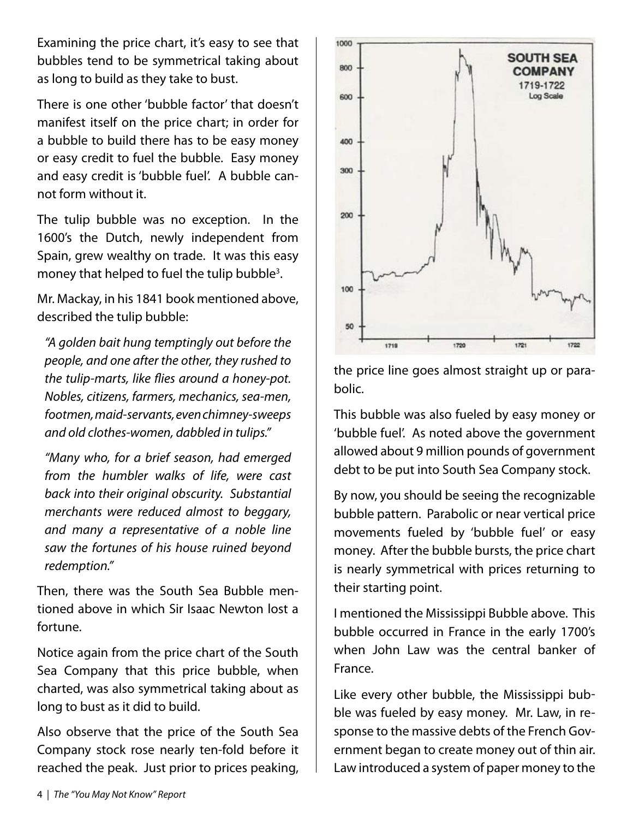Examining the price chart, it's easy to see that bubbles tend to be symmetrical taking about as long to build as they take to bust.

There is one other 'bubble factor' that doesn't manifest itself on the price chart; in order for a bubble to build there has to be easy money or easy credit to fuel the bubble. Easy money and easy credit is 'bubble fuel'. A bubble cannot form without it.

The tulip bubble was no exception. In the 1600's the Dutch, newly independent from Spain, grew wealthy on trade. It was this easy money that helped to fuel the tulip bubble<sup>3</sup>.

Mr. Mackay, in his 1841 book mentioned above, described the tulip bubble:

*"A golden bait hung temptingly out before the people, and one after the other, they rushed to the tulip-marts, like flies around a honey-pot. Nobles, citizens, farmers, mechanics, sea-men, footmen, maid-servants, even chimney-sweeps and old clothes-women, dabbled in tulips."* 

*"Many who, for a brief season, had emerged from the humbler walks of life, were cast back into their original obscurity. Substantial merchants were reduced almost to beggary, and many a representative of a noble line saw the fortunes of his house ruined beyond redemption."*

Then, there was the South Sea Bubble mentioned above in which Sir Isaac Newton lost a fortune.

Notice again from the price chart of the South Sea Company that this price bubble, when charted, was also symmetrical taking about as long to bust as it did to build.

Also observe that the price of the South Sea Company stock rose nearly ten-fold before it reached the peak. Just prior to prices peaking,





This bubble was also fueled by easy money or 'bubble fuel'. As noted above the government allowed about 9 million pounds of government debt to be put into South Sea Company stock.

By now, you should be seeing the recognizable bubble pattern. Parabolic or near vertical price movements fueled by 'bubble fuel' or easy money. After the bubble bursts, the price chart is nearly symmetrical with prices returning to their starting point.

I mentioned the Mississippi Bubble above. This bubble occurred in France in the early 1700's when John Law was the central banker of France.

Like every other bubble, the Mississippi bubble was fueled by easy money. Mr. Law, in response to the massive debts of the French Government began to create money out of thin air. Law introduced a system of paper money to the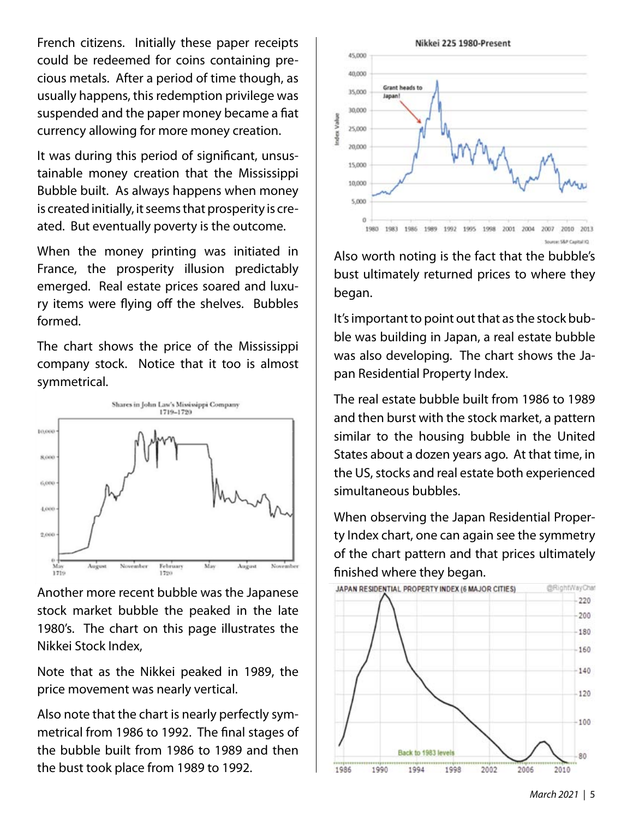French citizens. Initially these paper receipts could be redeemed for coins containing precious metals. After a period of time though, as usually happens, this redemption privilege was suspended and the paper money became a fiat currency allowing for more money creation.

It was during this period of significant, unsustainable money creation that the Mississippi Bubble built. As always happens when money is created initially, it seems that prosperity is created. But eventually poverty is the outcome.

When the money printing was initiated in France, the prosperity illusion predictably emerged. Real estate prices soared and luxury items were flying off the shelves. Bubbles formed.

The chart shows the price of the Mississippi company stock. Notice that it too is almost symmetrical.



Another more recent bubble was the Japanese stock market bubble the peaked in the late 1980's. The chart on this page illustrates the Nikkei Stock Index,

Note that as the Nikkei peaked in 1989, the price movement was nearly vertical.

Also note that the chart is nearly perfectly symmetrical from 1986 to 1992. The final stages of the bubble built from 1986 to 1989 and then the bust took place from 1989 to 1992.



Also worth noting is the fact that the bubble's bust ultimately returned prices to where they began.

It's important to point out that as the stock bubble was building in Japan, a real estate bubble was also developing. The chart shows the Japan Residential Property Index.

The real estate bubble built from 1986 to 1989 and then burst with the stock market, a pattern similar to the housing bubble in the United States about a dozen years ago. At that time, in the US, stocks and real estate both experienced simultaneous bubbles.

When observing the Japan Residential Property Index chart, one can again see the symmetry of the chart pattern and that prices ultimately finished where they began.

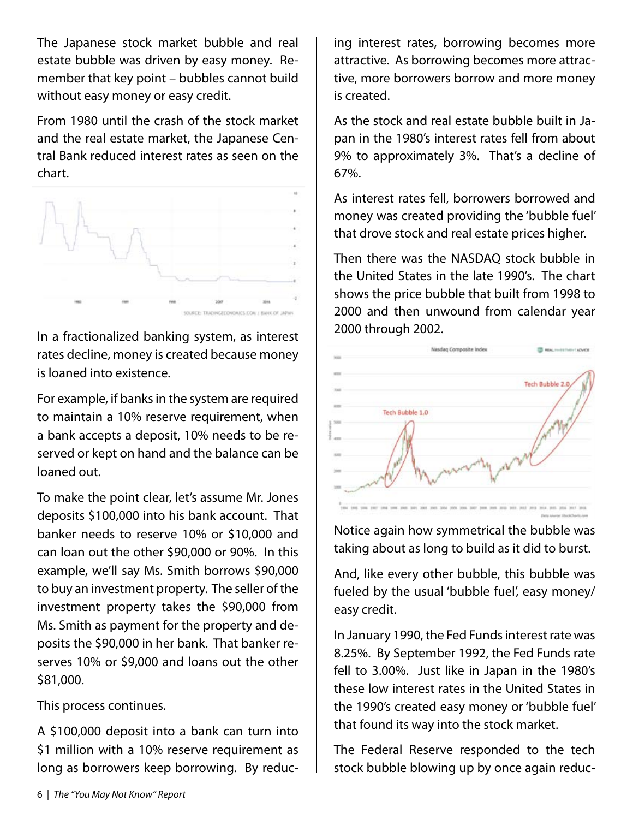The Japanese stock market bubble and real estate bubble was driven by easy money. Remember that key point – bubbles cannot build without easy money or easy credit.

From 1980 until the crash of the stock market and the real estate market, the Japanese Central Bank reduced interest rates as seen on the chart.



In a fractionalized banking system, as interest rates decline, money is created because money is loaned into existence.

For example, if banks in the system are required to maintain a 10% reserve requirement, when a bank accepts a deposit, 10% needs to be reserved or kept on hand and the balance can be loaned out.

To make the point clear, let's assume Mr. Jones deposits \$100,000 into his bank account. That banker needs to reserve 10% or \$10,000 and can loan out the other \$90,000 or 90%. In this example, we'll say Ms. Smith borrows \$90,000 to buy an investment property. The seller of the investment property takes the \$90,000 from Ms. Smith as payment for the property and deposits the \$90,000 in her bank. That banker reserves 10% or \$9,000 and loans out the other \$81,000.

This process continues.

A \$100,000 deposit into a bank can turn into \$1 million with a 10% reserve requirement as long as borrowers keep borrowing. By reducing interest rates, borrowing becomes more attractive. As borrowing becomes more attractive, more borrowers borrow and more money is created.

As the stock and real estate bubble built in Japan in the 1980's interest rates fell from about 9% to approximately 3%. That's a decline of 67%.

As interest rates fell, borrowers borrowed and money was created providing the 'bubble fuel' that drove stock and real estate prices higher.

Then there was the NASDAQ stock bubble in the United States in the late 1990's. The chart shows the price bubble that built from 1998 to 2000 and then unwound from calendar year 2000 through 2002.



Notice again how symmetrical the bubble was taking about as long to build as it did to burst.

And, like every other bubble, this bubble was fueled by the usual 'bubble fuel', easy money/ easy credit.

In January 1990, the Fed Funds interest rate was 8.25%. By September 1992, the Fed Funds rate fell to 3.00%. Just like in Japan in the 1980's these low interest rates in the United States in the 1990's created easy money or 'bubble fuel' that found its way into the stock market.

The Federal Reserve responded to the tech stock bubble blowing up by once again reduc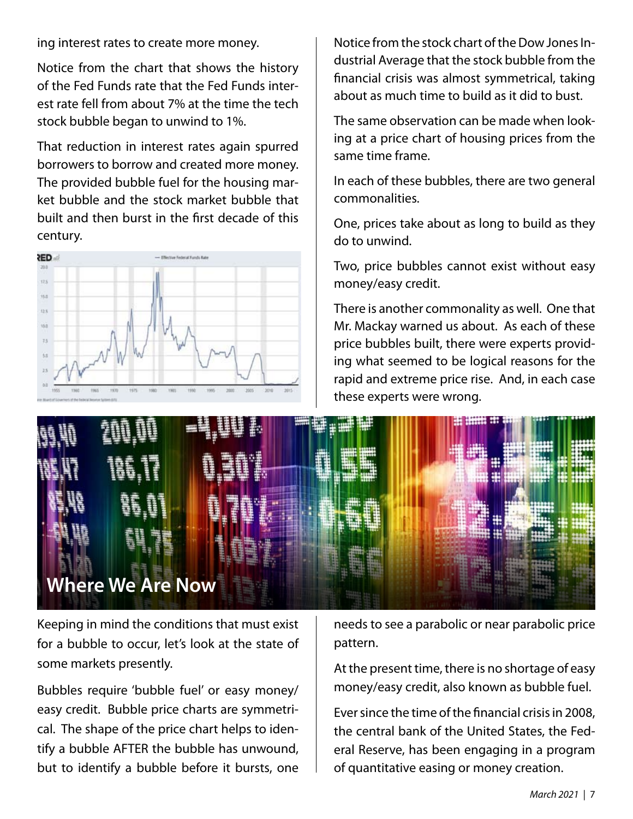ing interest rates to create more money.

Notice from the chart that shows the history of the Fed Funds rate that the Fed Funds interest rate fell from about 7% at the time the tech stock bubble began to unwind to 1%.

That reduction in interest rates again spurred borrowers to borrow and created more money. The provided bubble fuel for the housing market bubble and the stock market bubble that built and then burst in the first decade of this century.



Notice from the stock chart of the Dow Jones Industrial Average that the stock bubble from the financial crisis was almost symmetrical, taking about as much time to build as it did to bust.

The same observation can be made when looking at a price chart of housing prices from the same time frame.

In each of these bubbles, there are two general commonalities.

One, prices take about as long to build as they do to unwind.

Two, price bubbles cannot exist without easy money/easy credit.

There is another commonality as well. One that Mr. Mackay warned us about. As each of these price bubbles built, there were experts providing what seemed to be logical reasons for the rapid and extreme price rise. And, in each case these experts were wrong.



Keeping in mind the conditions that must exist for a bubble to occur, let's look at the state of some markets presently.

Bubbles require 'bubble fuel' or easy money/ easy credit. Bubble price charts are symmetrical. The shape of the price chart helps to identify a bubble AFTER the bubble has unwound, but to identify a bubble before it bursts, one

needs to see a parabolic or near parabolic price pattern.

At the present time, there is no shortage of easy money/easy credit, also known as bubble fuel.

Ever since the time of the financial crisis in 2008, the central bank of the United States, the Federal Reserve, has been engaging in a program of quantitative easing or money creation.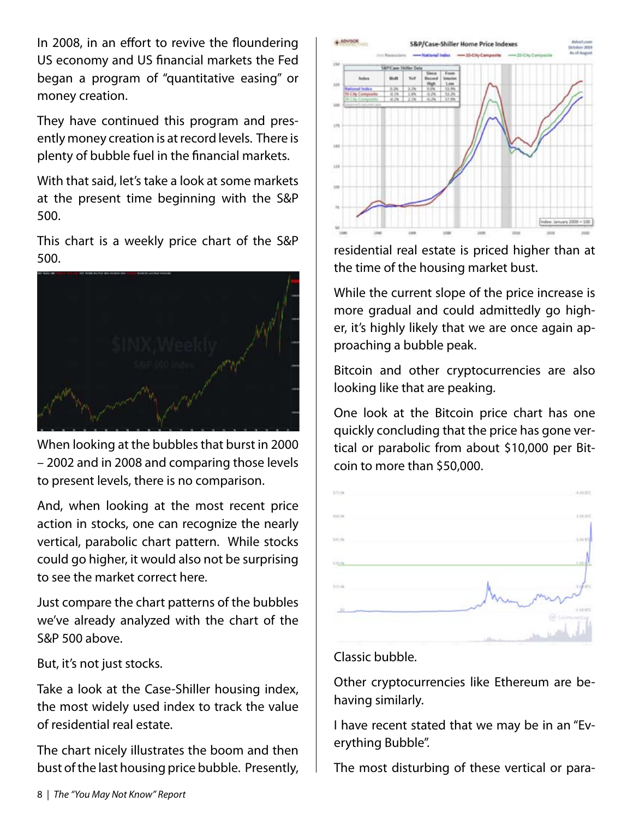In 2008, in an effort to revive the floundering US economy and US financial markets the Fed began a program of "quantitative easing" or money creation.

They have continued this program and presently money creation is at record levels. There is plenty of bubble fuel in the financial markets.

With that said, let's take a look at some markets at the present time beginning with the S&P 500.

This chart is a weekly price chart of the S&P 500. Finsterial real estate is priced higher than at



When looking at the bubbles that burst in 2000 – 2002 and in 2008 and comparing those levels to present levels, there is no comparison.

And, when looking at the most recent price action in stocks, one can recognize the nearly vertical, parabolic chart pattern. While stocks could go higher, it would also not be surprising to see the market correct here.

Just compare the chart patterns of the bubbles we've already analyzed with the chart of the S&P 500 above.

But, it's not just stocks.

Take a look at the Case-Shiller housing index, the most widely used index to track the value of residential real estate.

The chart nicely illustrates the boom and then bust of the last housing price bubble. Presently,



the time of the housing market bust.

While the current slope of the price increase is more gradual and could admittedly go higher, it's highly likely that we are once again approaching a bubble peak.

Bitcoin and other cryptocurrencies are also looking like that are peaking.

One look at the Bitcoin price chart has one quickly concluding that the price has gone vertical or parabolic from about \$10,000 per Bitcoin to more than \$50,000.



#### Classic bubble.

Other cryptocurrencies like Ethereum are behaving similarly.

I have recent stated that we may be in an "Everything Bubble".

The most disturbing of these vertical or para-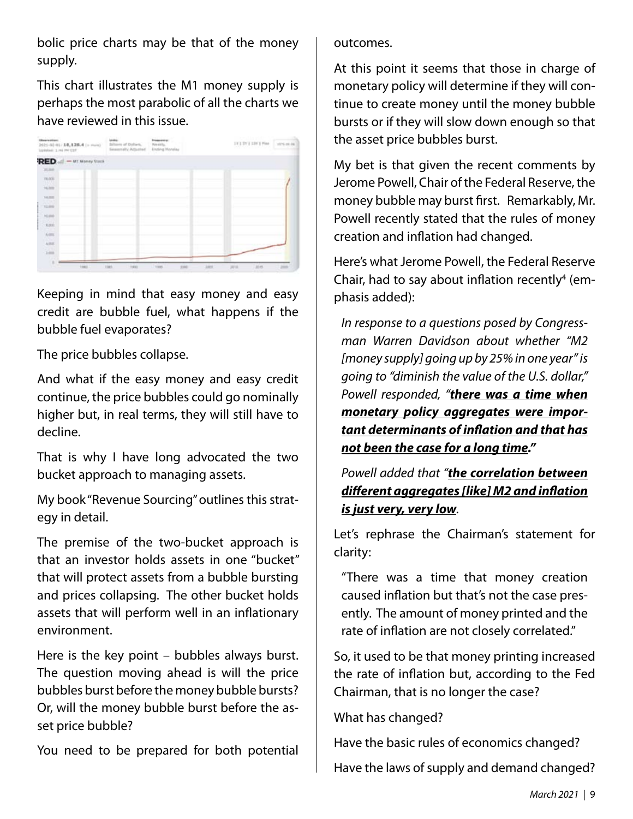bolic price charts may be that of the money supply.

This chart illustrates the M1 money supply is perhaps the most parabolic of all the charts we have reviewed in this issue.

| <b>Sheeholders</b><br>2021-02-01: 10,128.4 (c mos)<br>Validade 1.46 PH CEF | being<br>Biltons of Dollars,<br><b>Generally Attured</b> | Presented at<br>Westing<br>Analog Honday |       | 1113111311 Max  | 1576-04-06 |
|----------------------------------------------------------------------------|----------------------------------------------------------|------------------------------------------|-------|-----------------|------------|
| <b>RED</b><br>- MT Money Stock                                             |                                                          |                                          |       |                 |            |
| 25,300                                                                     |                                                          |                                          |       |                 |            |
| <b>BLACK</b>                                                               |                                                          |                                          |       |                 |            |
| 16,310                                                                     |                                                          |                                          |       |                 |            |
| <b>MILLE</b>                                                               |                                                          |                                          |       |                 |            |
| 12,010                                                                     |                                                          |                                          |       |                 |            |
| <b>NUMBER</b>                                                              |                                                          |                                          |       |                 |            |
| <b>KOUL</b>                                                                |                                                          |                                          |       |                 |            |
| Acres                                                                      |                                                          |                                          |       |                 |            |
| A/BIG                                                                      |                                                          |                                          |       |                 |            |
| 148                                                                        |                                                          |                                          |       |                 |            |
| ٠                                                                          |                                                          |                                          |       |                 |            |
| tant.                                                                      | <b>Light</b><br>1,612                                    | ties.<br>330                             | 3,859 | aist<br>peruit. | 28.01      |

Keeping in mind that easy money and easy credit are bubble fuel, what happens if the bubble fuel evaporates?

The price bubbles collapse.

And what if the easy money and easy credit continue, the price bubbles could go nominally higher but, in real terms, they will still have to decline.

That is why I have long advocated the two bucket approach to managing assets.

My book "Revenue Sourcing" outlines this strategy in detail.

The premise of the two-bucket approach is that an investor holds assets in one "bucket" that will protect assets from a bubble bursting and prices collapsing. The other bucket holds assets that will perform well in an inflationary environment.

Here is the key point – bubbles always burst. The question moving ahead is will the price bubbles burst before the money bubble bursts? Or, will the money bubble burst before the asset price bubble?

You need to be prepared for both potential

outcomes.

At this point it seems that those in charge of monetary policy will determine if they will continue to create money until the money bubble bursts or if they will slow down enough so that the asset price bubbles burst.

My bet is that given the recent comments by Jerome Powell, Chair of the Federal Reserve, the money bubble may burst first. Remarkably, Mr. Powell recently stated that the rules of money creation and inflation had changed.

Here's what Jerome Powell, the Federal Reserve Chair, had to say about inflation recently<sup>4</sup> (emphasis added):

*In response to a questions posed by Congressman Warren Davidson about whether "M2 [money supply] going up by 25% in one year" is going to "diminish the value of the U.S. dollar," Powell responded, "there was a time when monetary policy aggregates were important determinants of inflation and that has not been the case for a long time."*

*Powell added that "the correlation between different aggregates [like] M2 and inflation is just very, very low.*

Let's rephrase the Chairman's statement for clarity:

"There was a time that money creation caused inflation but that's not the case presently. The amount of money printed and the rate of inflation are not closely correlated."

So, it used to be that money printing increased the rate of inflation but, according to the Fed Chairman, that is no longer the case?

What has changed?

Have the basic rules of economics changed?

Have the laws of supply and demand changed?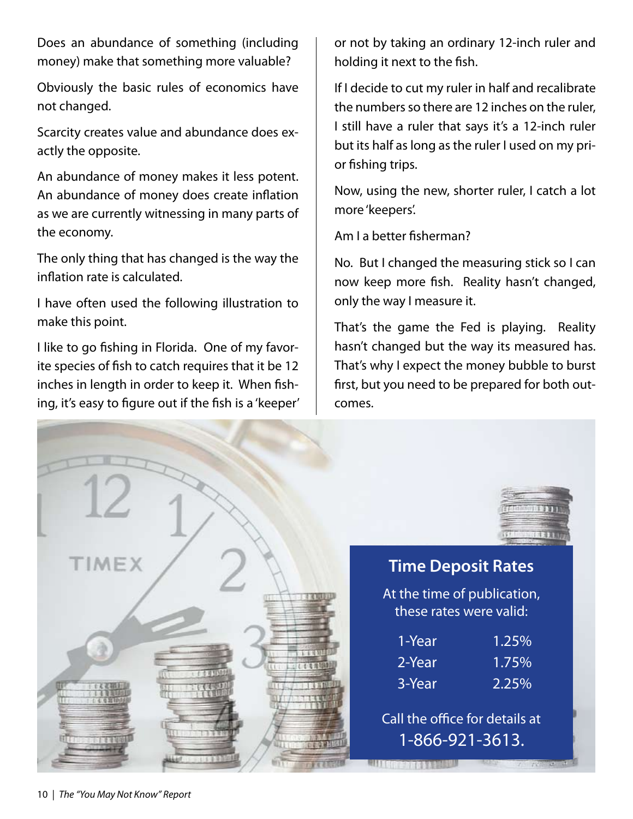Does an abundance of something (including money) make that something more valuable?

Obviously the basic rules of economics have not changed.

Scarcity creates value and abundance does exactly the opposite.

An abundance of money makes it less potent. An abundance of money does create inflation as we are currently witnessing in many parts of the economy.

The only thing that has changed is the way the inflation rate is calculated.

I have often used the following illustration to make this point.

I like to go fishing in Florida. One of my favorite species of fish to catch requires that it be 12 inches in length in order to keep it. When fishing, it's easy to figure out if the fish is a 'keeper' or not by taking an ordinary 12-inch ruler and holding it next to the fish.

If I decide to cut my ruler in half and recalibrate the numbers so there are 12 inches on the ruler, I still have a ruler that says it's a 12-inch ruler but its half as long as the ruler I used on my prior fishing trips.

Now, using the new, shorter ruler, I catch a lot more 'keepers'.

Am I a better fisherman?

No. But I changed the measuring stick so I can now keep more fish. Reality hasn't changed, only the way I measure it.

That's the game the Fed is playing. Reality hasn't changed but the way its measured has. That's why I expect the money bubble to burst first, but you need to be prepared for both outcomes.

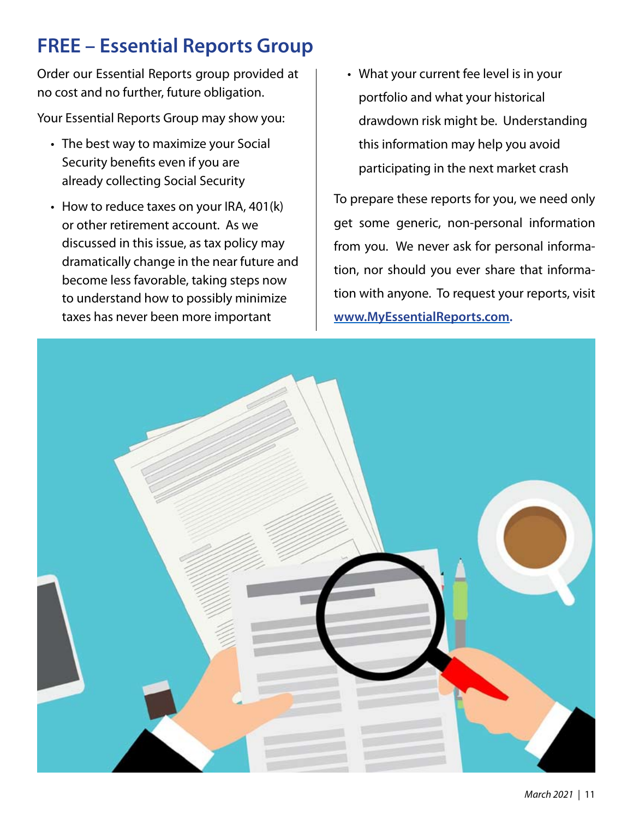## **FREE – Essential Reports Group**

Order our Essential Reports group provided at no cost and no further, future obligation.

Your Essential Reports Group may show you:

- The best way to maximize your Social Security benefits even if you are already collecting Social Security
- How to reduce taxes on your IRA, 401(k) or other retirement account. As we discussed in this issue, as tax policy may dramatically change in the near future and become less favorable, taking steps now to understand how to possibly minimize taxes has never been more important
- What your current fee level is in your •portfolio and what your historical drawdown risk might be. Understanding this information may help you avoid participating in the next market crash

To prepare these reports for you, we need only get some generic, non-personal information from you. We never ask for personal information, nor should you ever share that information with anyone. To request your reports, visit **www.MyEssentialReports.com.**